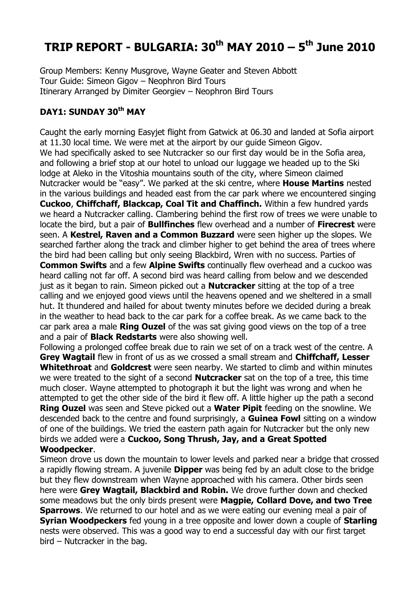# **TRIP REPORT - BULGARIA: 30th MAY 2010 – 5 th June 2010**

Group Members: Kenny Musgrove, Wayne Geater and Steven Abbott Tour Guide: Simeon Gigov – Neophron Bird Tours Itinerary Arranged by Dimiter Georgiev – Neophron Bird Tours

## **DAY1: SUNDAY 30th MAY**

Caught the early morning Easyjet flight from Gatwick at 06.30 and landed at Sofia airport at 11.30 local time. We were met at the airport by our guide Simeon Gigov. We had specifically asked to see Nutcracker so our first day would be in the Sofia area, and following a brief stop at our hotel to unload our luggage we headed up to the Ski lodge at Aleko in the Vitoshia mountains south of the city, where Simeon claimed Nutcracker would be "easy". We parked at the ski centre, where **House Martins** nested in the various buildings and headed east from the car park where we encountered singing **Cuckoo**, **Chiffchaff, Blackcap, Coal Tit and Chaffinch.** Within a few hundred yards we heard a Nutcracker calling. Clambering behind the first row of trees we were unable to locate the bird, but a pair of **Bullfinches** flew overhead and a number of **Firecrest** were seen. A **Kestrel, Raven and a Common Buzzard** were seen higher up the slopes. We searched farther along the track and climber higher to get behind the area of trees where the bird had been calling but only seeing Blackbird, Wren with no success. Parties of **Common Swifts** and a few **Alpine Swifts** continually flew overhead and a cuckoo was heard calling not far off. A second bird was heard calling from below and we descended just as it began to rain. Simeon picked out a **Nutcracker** sitting at the top of a tree

calling and we enjoyed good views until the heavens opened and we sheltered in a small hut. It thundered and hailed for about twenty minutes before we decided during a break in the weather to head back to the car park for a coffee break. As we came back to the car park area a male **Ring Ouzel** of the was sat giving good views on the top of a tree and a pair of **Black Redstarts** were also showing well.

Following a prolonged coffee break due to rain we set of on a track west of the centre. A **Grey Wagtail** flew in front of us as we crossed a small stream and **Chiffchaff, Lesser Whitethroat** and **Goldcrest** were seen nearby. We started to climb and within minutes we were treated to the sight of a second **Nutcracker** sat on the top of a tree, this time much closer. Wayne attempted to photograph it but the light was wrong and when he attempted to get the other side of the bird it flew off. A little higher up the path a second **Ring Ouzel** was seen and Steve picked out a **Water Pipit** feeding on the snowline. We descended back to the centre and found surprisingly, a **Guinea Fowl** sitting on a window of one of the buildings. We tried the eastern path again for Nutcracker but the only new birds we added were a **Cuckoo, Song Thrush, Jay, and a Great Spotted Woodpecker**.

Simeon drove us down the mountain to lower levels and parked near a bridge that crossed a rapidly flowing stream. A juvenile **Dipper** was being fed by an adult close to the bridge but they flew downstream when Wayne approached with his camera. Other birds seen here were **Grey Wagtail, Blackbird and Robin.** We drove further down and checked some meadows but the only birds present were **Magpie, Collard Dove, and two Tree Sparrows**. We returned to our hotel and as we were eating our evening meal a pair of **Syrian Woodpeckers** fed young in a tree opposite and lower down a couple of **Starling** nests were observed. This was a good way to end a successful day with our first target bird – Nutcracker in the bag.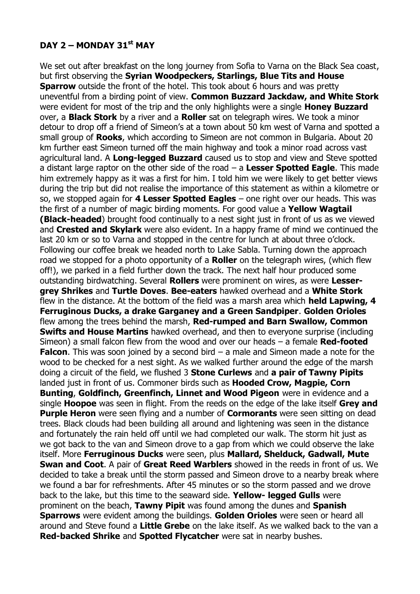# **DAY 2 – MONDAY 31st MAY**

We set out after breakfast on the long journey from Sofia to Varna on the Black Sea coast, but first observing the **Syrian Woodpeckers, Starlings, Blue Tits and House Sparrow** outside the front of the hotel. This took about 6 hours and was pretty uneventful from a birding point of view. **Common Buzzard Jackdaw, and White Stork** were evident for most of the trip and the only highlights were a single **Honey Buzzard** over, a **Black Stork** by a river and a **Roller** sat on telegraph wires. We took a minor detour to drop off a friend of Simeon's at a town about 50 km west of Varna and spotted a small group of **Rooks**, which according to Simeon are not common in Bulgaria. About 20 km further east Simeon turned off the main highway and took a minor road across vast agricultural land. A **Long-legged Buzzard** caused us to stop and view and Steve spotted a distant large raptor on the other side of the road – a **Lesser Spotted Eagle**. This made him extremely happy as it was a first for him. I told him we were likely to get better views during the trip but did not realise the importance of this statement as within a kilometre or so, we stopped again for **4 Lesser Spotted Eagles** – one right over our heads. This was the first of a number of magic birding moments. For good value a **Yellow Wagtail (Black-headed**) brought food continually to a nest sight just in front of us as we viewed and **Crested and Skylark** were also evident. In a happy frame of mind we continued the last 20 km or so to Varna and stopped in the centre for lunch at about three o'clock. Following our coffee break we headed north to Lake Sabla. Turning down the approach road we stopped for a photo opportunity of a **Roller** on the telegraph wires, (which flew off!), we parked in a field further down the track. The next half hour produced some outstanding birdwatching. Several **Rollers** were prominent on wires, as were **Lessergrey Shrikes** and **Turtle Doves**. **Bee-eaters** hawked overhead and a **White Stork** flew in the distance. At the bottom of the field was a marsh area which **held Lapwing, 4 Ferruginous Ducks, a drake Garganey and a Green Sandpiper**. **Golden Orioles** flew among the trees behind the marsh, **Red-rumped and Barn Swallow, Common Swifts and House Martins** hawked overhead, and then to everyone surprise (including Simeon) a small falcon flew from the wood and over our heads – a female **Red-footed Falcon.** This was soon joined by a second bird – a male and Simeon made a note for the wood to be checked for a nest sight. As we walked further around the edge of the marsh doing a circuit of the field, we flushed 3 **Stone Curlews** and **a pair of Tawny Pipits** landed just in front of us. Commoner birds such as **Hooded Crow, Magpie, Corn Bunting**, **Goldfinch, Greenfinch, Linnet and Wood Pigeon** were in evidence and a single **Hoopoe** was seen in flight. From the reeds on the edge of the lake itself **Grey and Purple Heron** were seen flying and a number of **Cormorants** were seen sitting on dead trees. Black clouds had been building all around and lightening was seen in the distance and fortunately the rain held off until we had completed our walk. The storm hit just as we got back to the van and Simeon drove to a gap from which we could observe the lake itself. More **Ferruginous Ducks** were seen, plus **Mallard, Shelduck, Gadwall, Mute Swan and Coot**. A pair of **Great Reed Warblers** showed in the reeds in front of us. We decided to take a break until the storm passed and Simeon drove to a nearby break where we found a bar for refreshments. After 45 minutes or so the storm passed and we drove back to the lake, but this time to the seaward side. **Yellow- legged Gulls** were prominent on the beach, **Tawny Pipit** was found among the dunes and **Spanish Sparrows** were evident among the buildings. **Golden Orioles** were seen or heard all around and Steve found a **Little Grebe** on the lake itself. As we walked back to the van a **Red-backed Shrike** and **Spotted Flycatcher** were sat in nearby bushes.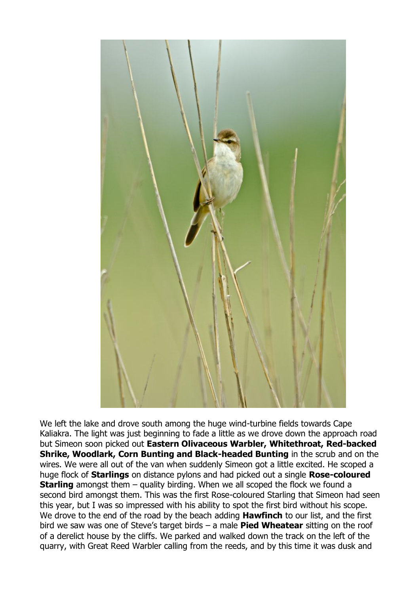

We left the lake and drove south among the huge wind-turbine fields towards Cape Kaliakra. The light was just beginning to fade a little as we drove down the approach road but Simeon soon picked out **Eastern Olivaceous Warbler, Whitethroat, Red-backed Shrike, Woodlark, Corn Bunting and Black-headed Bunting** in the scrub and on the wires. We were all out of the van when suddenly Simeon got a little excited. He scoped a huge flock of **Starlings** on distance pylons and had picked out a single **Rose-coloured Starling** amongst them – quality birding. When we all scoped the flock we found a second bird amongst them. This was the first Rose-coloured Starling that Simeon had seen this year, but I was so impressed with his ability to spot the first bird without his scope. We drove to the end of the road by the beach adding **Hawfinch** to our list, and the first bird we saw was one of Steve's target birds – a male **Pied Wheatear** sitting on the roof of a derelict house by the cliffs. We parked and walked down the track on the left of the quarry, with Great Reed Warbler calling from the reeds, and by this time it was dusk and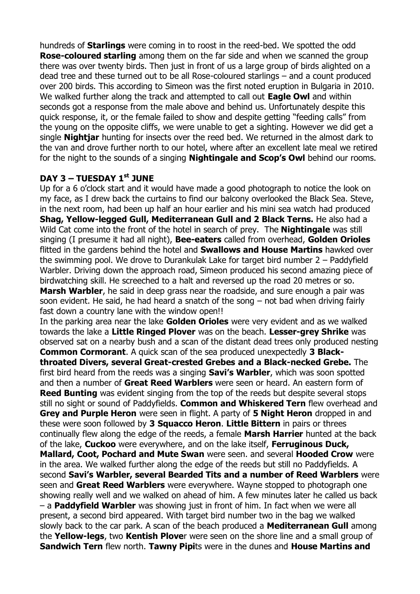hundreds of **Starlings** were coming in to roost in the reed-bed. We spotted the odd **Rose-coloured starling** among them on the far side and when we scanned the group there was over twenty birds. Then just in front of us a large group of birds alighted on a dead tree and these turned out to be all Rose-coloured starlings – and a count produced over 200 birds. This according to Simeon was the first noted eruption in Bulgaria in 2010. We walked further along the track and attempted to call out **Eagle Owl** and within seconds got a response from the male above and behind us. Unfortunately despite this quick response, it, or the female failed to show and despite getting "feeding calls" from the young on the opposite cliffs, we were unable to get a sighting. However we did get a single **Nightjar** hunting for insects over the reed bed. We returned in the almost dark to the van and drove further north to our hotel, where after an excellent late meal we retired for the night to the sounds of a singing **Nightingale and Scop's Owl** behind our rooms.

## **DAY 3 – TUESDAY 1 st JUNE**

Up for a 6 o'clock start and it would have made a good photograph to notice the look on my face, as I drew back the curtains to find our balcony overlooked the Black Sea. Steve, in the next room, had been up half an hour earlier and his mini sea watch had produced **Shag, Yellow-legged Gull, Mediterranean Gull and 2 Black Terns.** He also had a Wild Cat come into the front of the hotel in search of prey. The **Nightingale** was still singing (I presume it had all night), **Bee-eaters** called from overhead, **Golden Orioles** flitted in the gardens behind the hotel and **Swallows and House Martins** hawked over the swimming pool. We drove to Durankulak Lake for target bird number 2 – Paddyfield Warbler. Driving down the approach road, Simeon produced his second amazing piece of birdwatching skill. He screeched to a halt and reversed up the road 20 metres or so. **Marsh Warbler**, he said in deep grass near the roadside, and sure enough a pair was soon evident. He said, he had heard a snatch of the song – not bad when driving fairly fast down a country lane with the window open!!

In the parking area near the lake **Golden Orioles** were very evident and as we walked towards the lake a **Little Ringed Plover** was on the beach. **Lesser-grey Shrike** was observed sat on a nearby bush and a scan of the distant dead trees only produced nesting **Common Cormorant**. A quick scan of the sea produced unexpectedly **3 Blackthroated Divers, several Great-crested Grebes and a Black-necked Grebe.** The first bird heard from the reeds was a singing **Savi's Warbler**, which was soon spotted and then a number of **Great Reed Warblers** were seen or heard. An eastern form of **Reed Bunting** was evident singing from the top of the reeds but despite several stops still no sight or sound of Paddyfields. **Common and Whiskered Tern** flew overhead and **Grey and Purple Heron** were seen in flight. A party of **5 Night Heron** dropped in and these were soon followed by **3 Squacco Heron**. **Little Bittern** in pairs or threes continually flew along the edge of the reeds, a female **Marsh Harrier** hunted at the back of the lake, **Cuckoo** were everywhere, and on the lake itself, **Ferruginous Duck, Mallard, Coot, Pochard and Mute Swan** were seen. and several **Hooded Crow** were in the area. We walked further along the edge of the reeds but still no Paddyfields. A second **Savi's Warbler, several Bearded Tits and a number of Reed Warblers** were seen and **Great Reed Warblers** were everywhere. Wayne stopped to photograph one showing really well and we walked on ahead of him. A few minutes later he called us back – a **Paddyfield Warbler** was showing just in front of him. In fact when we were all present, a second bird appeared. With target bird number two in the bag we walked slowly back to the car park. A scan of the beach produced a **Mediterranean Gull** among the **Yellow-legs**, two **Kentish Plove**r were seen on the shore line and a small group of **Sandwich Tern** flew north. **Tawny Pipi**ts were in the dunes and **House Martins and**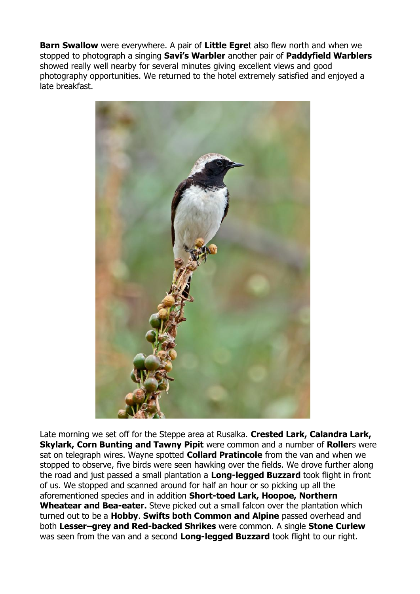**Barn Swallow** were everywhere. A pair of **Little Egre**t also flew north and when we stopped to photograph a singing **Savi's Warbler** another pair of **Paddyfield Warblers** showed really well nearby for several minutes giving excellent views and good photography opportunities. We returned to the hotel extremely satisfied and enjoyed a late breakfast.



Late morning we set off for the Steppe area at Rusalka. **Crested Lark, Calandra Lark, Skylark, Corn Bunting and Tawny Pipit** were common and a number of **Roller**s were sat on telegraph wires. Wayne spotted **Collard Pratincole** from the van and when we stopped to observe, five birds were seen hawking over the fields. We drove further along the road and just passed a small plantation a **Long-legged Buzzard** took flight in front of us. We stopped and scanned around for half an hour or so picking up all the aforementioned species and in addition **Short-toed Lark, Hoopoe, Northern Wheatear and Bea-eater.** Steve picked out a small falcon over the plantation which turned out to be a **Hobby**. **Swifts both Common and Alpine** passed overhead and both **Lesser–grey and Red-backed Shrikes** were common. A single **Stone Curlew** was seen from the van and a second **Long-legged Buzzard** took flight to our right.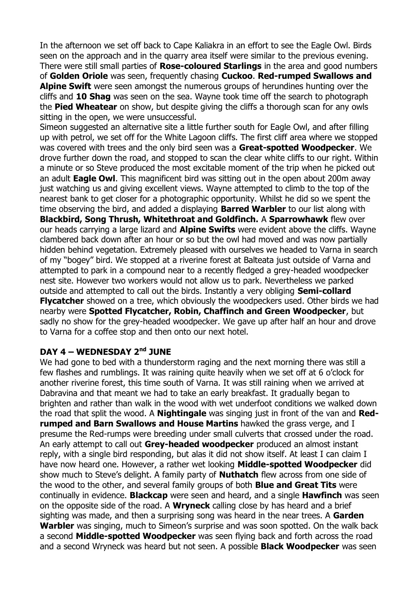In the afternoon we set off back to Cape Kaliakra in an effort to see the Eagle Owl. Birds seen on the approach and in the quarry area itself were similar to the previous evening. There were still small parties of **Rose-coloured Starlings** in the area and good numbers of **Golden Oriole** was seen, frequently chasing **Cuckoo**. **Red-rumped Swallows and Alpine Swift** were seen amongst the numerous groups of herundines hunting over the cliffs and **10 Shag** was seen on the sea. Wayne took time off the search to photograph the **Pied Wheatear** on show, but despite giving the cliffs a thorough scan for any owls sitting in the open, we were unsuccessful.

Simeon suggested an alternative site a little further south for Eagle Owl, and after filling up with petrol, we set off for the White Lagoon cliffs. The first cliff area where we stopped was covered with trees and the only bird seen was a **Great-spotted Woodpecker**. We drove further down the road, and stopped to scan the clear white cliffs to our right. Within a minute or so Steve produced the most excitable moment of the trip when he picked out an adult **Eagle Owl**. This magnificent bird was sitting out in the open about 200m away just watching us and giving excellent views. Wayne attempted to climb to the top of the nearest bank to get closer for a photographic opportunity. Whilst he did so we spent the time observing the bird, and added a displaying **Barred Warbler** to our list along with **Blackbird, Song Thrush, Whitethroat and Goldfinch.** A **Sparrowhawk** flew over our heads carrying a large lizard and **Alpine Swifts** were evident above the cliffs. Wayne clambered back down after an hour or so but the owl had moved and was now partially hidden behind vegetation. Extremely pleased with ourselves we headed to Varna in search of my "bogey" bird. We stopped at a riverine forest at Balteata just outside of Varna and attempted to park in a compound near to a recently fledged a grey-headed woodpecker nest site. However two workers would not allow us to park. Nevertheless we parked outside and attempted to call out the birds. Instantly a very obliging **Semi-collard Flycatcher** showed on a tree, which obviously the woodpeckers used. Other birds we had nearby were **Spotted Flycatcher, Robin, Chaffinch and Green Woodpecker**, but sadly no show for the grey-headed woodpecker. We gave up after half an hour and drove to Varna for a coffee stop and then onto our next hotel.

## **DAY 4 – WEDNESDAY 2nd JUNE**

We had gone to bed with a thunderstorm raging and the next morning there was still a few flashes and rumblings. It was raining quite heavily when we set off at 6 o'clock for another riverine forest, this time south of Varna. It was still raining when we arrived at Dabravina and that meant we had to take an early breakfast. It gradually began to brighten and rather than walk in the wood with wet underfoot conditions we walked down the road that split the wood. A **Nightingale** was singing just in front of the van and **Redrumped and Barn Swallows and House Martins** hawked the grass verge, and I presume the Red-rumps were breeding under small culverts that crossed under the road. An early attempt to call out **Grey-headed woodpecker** produced an almost instant reply, with a single bird responding, but alas it did not show itself. At least I can claim I have now heard one. However, a rather wet looking **Middle-spotted Woodpecker** did show much to Steve's delight. A family party of **Nuthatch** flew across from one side of the wood to the other, and several family groups of both **Blue and Great Tits** were continually in evidence. **Blackcap** were seen and heard, and a single **Hawfinch** was seen on the opposite side of the road. A **Wryneck** calling close by has heard and a brief sighting was made, and then a surprising song was heard in the near trees. A **Garden Warbler** was singing, much to Simeon's surprise and was soon spotted. On the walk back a second **Middle-spotted Woodpecker** was seen flying back and forth across the road and a second Wryneck was heard but not seen. A possible **Black Woodpecker** was seen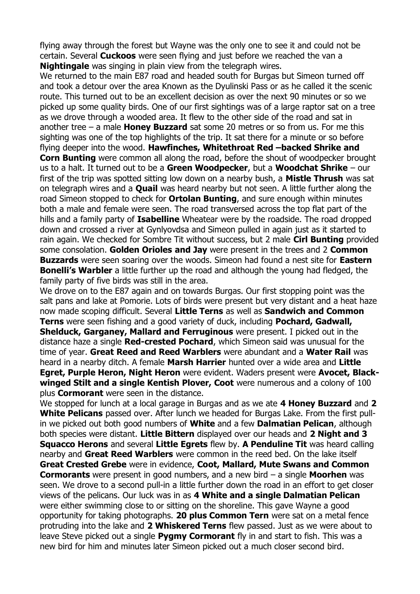flying away through the forest but Wayne was the only one to see it and could not be certain. Several **Cuckoos** were seen flying and just before we reached the van a **Nightingale** was singing in plain view from the telegraph wires.

We returned to the main E87 road and headed south for Burgas but Simeon turned off and took a detour over the area Known as the Dyulinski Pass or as he called it the scenic route. This turned out to be an excellent decision as over the next 90 minutes or so we picked up some quality birds. One of our first sightings was of a large raptor sat on a tree as we drove through a wooded area. It flew to the other side of the road and sat in another tree – a male **Honey Buzzard** sat some 20 metres or so from us. For me this sighting was one of the top highlights of the trip. It sat there for a minute or so before flying deeper into the wood. **Hawfinches, Whitethroat Red –backed Shrike and Corn Bunting** were common all along the road, before the shout of woodpecker brought us to a halt. It turned out to be a **Green Woodpecker**, but a **Woodchat Shrike** – our first of the trip was spotted sitting low down on a nearby bush, a **Mistle Thrush** was sat on telegraph wires and a **Quail** was heard nearby but not seen. A little further along the road Simeon stopped to check for **Ortolan Bunting**, and sure enough within minutes both a male and female were seen. The road transversed across the top flat part of the hills and a family party of **Isabelline** Wheatear were by the roadside. The road dropped down and crossed a river at Gynlyovdsa and Simeon pulled in again just as it started to rain again. We checked for Sombre Tit without success, but 2 male **Cirl Bunting** provided some consolation. **Golden Orioles and Jay** were present in the trees and 2 **Common Buzzards** were seen soaring over the woods. Simeon had found a nest site for **Eastern Bonelli's Warbler** a little further up the road and although the young had fledged, the family party of five birds was still in the area.

We drove on to the E87 again and on towards Burgas. Our first stopping point was the salt pans and lake at Pomorie. Lots of birds were present but very distant and a heat haze now made scoping difficult. Several **Little Terns** as well as **Sandwich and Common Terns** were seen fishing and a good variety of duck, including **Pochard, Gadwall, Shelduck, Garganey, Mallard and Ferruginous** were present. I picked out in the distance haze a single **Red-crested Pochard**, which Simeon said was unusual for the time of year. **Great Reed and Reed Warblers** were abundant and a **Water Rail** was heard in a nearby ditch. A female **Marsh Harrier** hunted over a wide area and **Little Egret, Purple Heron, Night Heron** were evident. Waders present were **Avocet, Blackwinged Stilt and a single Kentish Plover, Coot** were numerous and a colony of 100 plus **Cormorant** were seen in the distance.

We stopped for lunch at a local garage in Burgas and as we ate **4 Honey Buzzard** and **2 White Pelicans** passed over. After lunch we headed for Burgas Lake. From the first pullin we picked out both good numbers of **White** and a few **Dalmatian Pelican**, although both species were distant. **Little Bittern** displayed over our heads and **2 Night and 3 Squacco Herons** and several **Little Egrets** flew by. **A Penduline Tit** was heard calling nearby and **Great Reed Warblers** were common in the reed bed. On the lake itself **Great Crested Grebe** were in evidence, **Coot, Mallard, Mute Swans and Common Cormorants** were present in good numbers, and a new bird – a single **Moorhen** was seen. We drove to a second pull-in a little further down the road in an effort to get closer views of the pelicans. Our luck was in as **4 White and a single Dalmatian Pelican** were either swimming close to or sitting on the shoreline. This gave Wayne a good opportunity for taking photographs. **20 plus Common Tern** were sat on a metal fence protruding into the lake and **2 Whiskered Terns** flew passed. Just as we were about to leave Steve picked out a single **Pygmy Cormorant** fly in and start to fish. This was a new bird for him and minutes later Simeon picked out a much closer second bird.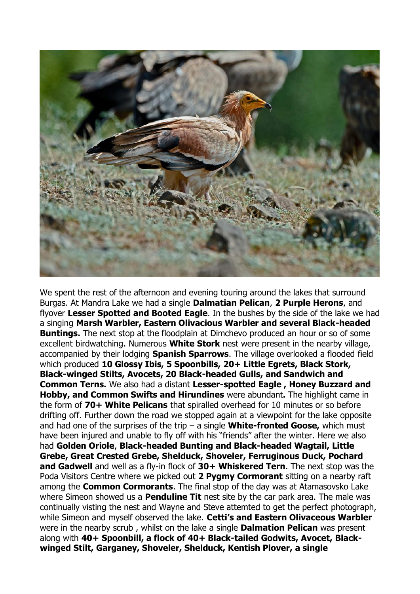

We spent the rest of the afternoon and evening touring around the lakes that surround Burgas. At Mandra Lake we had a single **Dalmatian Pelican**, **2 Purple Herons**, and flyover **Lesser Spotted and Booted Eagle**. In the bushes by the side of the lake we had a singing **Marsh Warbler, Eastern Olivacious Warbler and several Black-headed Buntings.** The next stop at the floodplain at Dimchevo produced an hour or so of some excellent birdwatching. Numerous **White Stork** nest were present in the nearby village, accompanied by their lodging **Spanish Sparrows**. The village overlooked a flooded field which produced **10 Glossy Ibis, 5 Spoonbills, 20+ Little Egrets, Black Stork, Black-winged Stilts, Avocets, 20 Black-headed Gulls, and Sandwich and Common Terns.** We also had a distant **Lesser-spotted Eagle , Honey Buzzard and Hobby, and Common Swifts and Hirundines** were abundant**.** The highlight came in the form of **70+ White Pelicans** that spiralled overhead for 10 minutes or so before drifting off. Further down the road we stopped again at a viewpoint for the lake opposite and had one of the surprises of the trip – a single **White-fronted Goose,** which must have been injured and unable to fly off with his "friends" after the winter. Here we also had **Golden Oriole**, **Black-headed Bunting and Black-headed Wagtail, Little Grebe, Great Crested Grebe, Shelduck, Shoveler, Ferruginous Duck, Pochard and Gadwell** and well as a fly-in flock of **30+ Whiskered Tern**. The next stop was the Poda Visitors Centre where we picked out **2 Pygmy Cormorant** sitting on a nearby raft among the **Common Cormorants**. The final stop of the day was at Atamasovsko Lake where Simeon showed us a **Penduline Tit** nest site by the car park area. The male was continually visting the nest and Wayne and Steve attemted to get the perfect photograph, while Simeon and myself observed the lake. **Cetti's and Eastern Olivaceous Warbler** were in the nearby scrub , whilst on the lake a single **Dalmation Pelican** was present along with **40+ Spoonbill, a flock of 40+ Black-tailed Godwits, Avocet, Blackwinged Stilt, Garganey, Shoveler, Shelduck, Kentish Plover, a single**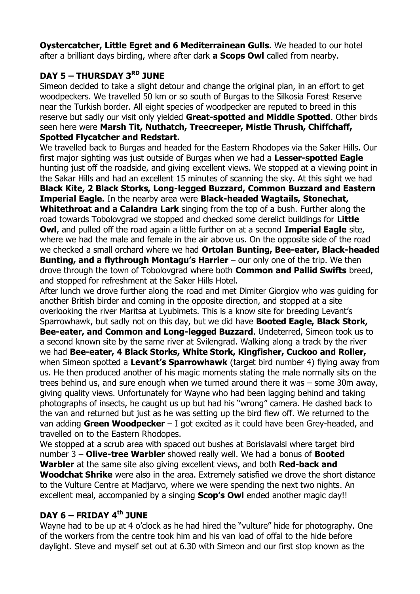**Oystercatcher, Little Egret and 6 Mediterrainean Gulls.** We headed to our hotel after a brilliant days birding, where after dark **a Scops Owl** called from nearby.

# **DAY 5 – THURSDAY 3RD JUNE**

Simeon decided to take a slight detour and change the original plan, in an effort to get woodpeckers. We travelled 50 km or so south of Burgas to the Silkosia Forest Reserve near the Turkish border. All eight species of woodpecker are reputed to breed in this reserve but sadly our visit only yielded **Great-spotted and Middle Spotted**. Other birds seen here were **Marsh Tit, Nuthatch, Treecreeper, Mistle Thrush, Chiffchaff, Spotted Flycatcher and Redstart.**

We travelled back to Burgas and headed for the Eastern Rhodopes via the Saker Hills. Our first major sighting was just outside of Burgas when we had a **Lesser-spotted Eagle** hunting just off the roadside, and giving excellent views. We stopped at a viewing point in the Sakar Hills and had an excellent 15 minutes of scanning the sky. At this sight we had **Black Kite, 2 Black Storks, Long-legged Buzzard, Common Buzzard and Eastern Imperial Eagle.** In the nearby area were **Black-headed Wagtails, Stonechat, Whitethroat and a Calandra Lark** singing from the top of a bush. Further along the road towards Tobolovgrad we stopped and checked some derelict buildings for **Little Owl**, and pulled off the road again a little further on at a second **Imperial Eagle** site, where we had the male and female in the air above us. On the opposite side of the road we checked a small orchard where we had **Ortolan Bunting, Bee-eater, Black-headed Bunting, and a flythrough Montagu's Harrier** – our only one of the trip. We then drove through the town of Tobolovgrad where both **Common and Pallid Swifts** breed, and stopped for refreshment at the Saker Hills Hotel.

After lunch we drove further along the road and met Dimiter Giorgiov who was guiding for another British birder and coming in the opposite direction, and stopped at a site overlooking the river Maritsa at Lyubimets. This is a know site for breeding Levant's Sparrowhawk, but sadly not on this day, but we did have **Booted Eagle, Black Stork, Bee-eater, and Common and Long-legged Buzzard**. Undeterred, Simeon took us to a second known site by the same river at Svilengrad. Walking along a track by the river we had **Bee-eater, 4 Black Storks, White Stork, Kingfisher, Cuckoo and Roller,** when Simeon spotted a **Levant's Sparrowhawk** (target bird number 4) flying away from us. He then produced another of his magic moments stating the male normally sits on the trees behind us, and sure enough when we turned around there it was – some 30m away, giving quality views. Unfortunately for Wayne who had been lagging behind and taking photographs of insects, he caught us up but had his "wrong" camera. He dashed back to the van and returned but just as he was setting up the bird flew off. We returned to the van adding **Green Woodpecker** – I got excited as it could have been Grey-headed, and travelled on to the Eastern Rhodopes.

We stopped at a scrub area with spaced out bushes at Borislavalsi where target bird number 3 – **Olive-tree Warbler** showed really well. We had a bonus of **Booted Warbler** at the same site also giving excellent views, and both **Red-back and Woodchat Shrike** were also in the area. Extremely satisfied we drove the short distance to the Vulture Centre at Madjarvo, where we were spending the next two nights. An excellent meal, accompanied by a singing **Scop's Owl** ended another magic day!!

# **DAY 6 – FRIDAY 4th JUNE**

Wayne had to be up at 4 o'clock as he had hired the "vulture" hide for photography. One of the workers from the centre took him and his van load of offal to the hide before daylight. Steve and myself set out at 6.30 with Simeon and our first stop known as the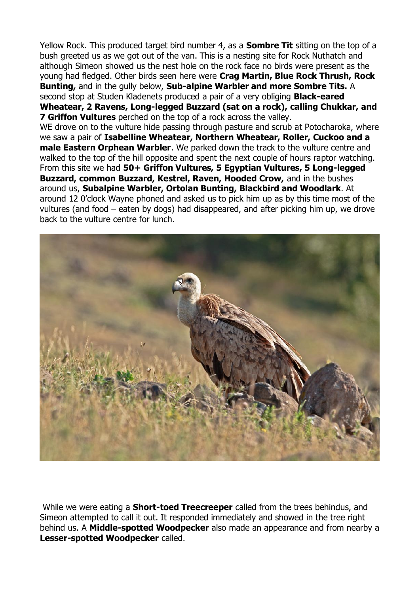Yellow Rock. This produced target bird number 4, as a **Sombre Tit** sitting on the top of a bush greeted us as we got out of the van. This is a nesting site for Rock Nuthatch and although Simeon showed us the nest hole on the rock face no birds were present as the young had fledged. Other birds seen here were **Crag Martin, Blue Rock Thrush, Rock Bunting,** and in the gully below, **Sub-alpine Warbler and more Sombre Tits.** A second stop at Studen Kladenets produced a pair of a very obliging **Black-eared Wheatear, 2 Ravens, Long-legged Buzzard (sat on a rock), calling Chukkar, and 7 Griffon Vultures** perched on the top of a rock across the valley. WE drove on to the vulture hide passing through pasture and scrub at Potocharoka, where we saw a pair of **Isabelline Wheatear, Northern Wheatear, Roller, Cuckoo and a male Eastern Orphean Warbler**. We parked down the track to the vulture centre and walked to the top of the hill opposite and spent the next couple of hours raptor watching. From this site we had **50+ Griffon Vultures, 5 Egyptian Vultures, 5 Long-legged Buzzard, common Buzzard, Kestrel, Raven, Hooded Crow,** and in the bushes around us, **Subalpine Warbler, Ortolan Bunting, Blackbird and Woodlark**. At around 12 0'clock Wayne phoned and asked us to pick him up as by this time most of the vultures (and food – eaten by dogs) had disappeared, and after picking him up, we drove back to the vulture centre for lunch.



While we were eating a **Short-toed Treecreeper** called from the trees behindus, and Simeon attempted to call it out. It responded immediately and showed in the tree right behind us. A **Middle-spotted Woodpecker** also made an appearance and from nearby a **Lesser-spotted Woodpecker** called.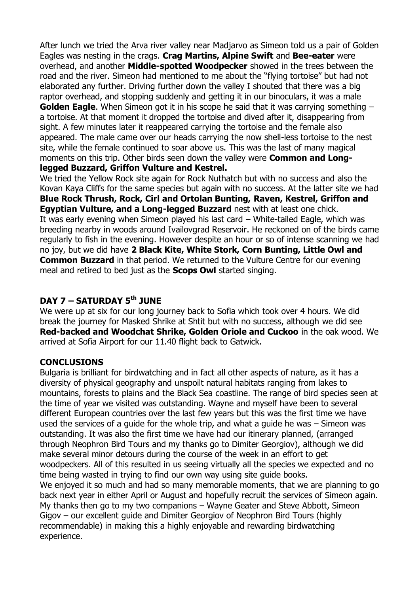After lunch we tried the Arva river valley near Madjarvo as Simeon told us a pair of Golden Eagles was nesting in the crags. **Crag Martins, Alpine Swift** and **Bee-eater** were overhead, and another **Middle-spotted Woodpecker** showed in the trees between the road and the river. Simeon had mentioned to me about the "flying tortoise" but had not elaborated any further. Driving further down the valley I shouted that there was a big raptor overhead, and stopping suddenly and getting it in our binoculars, it was a male **Golden Eagle.** When Simeon got it in his scope he said that it was carrying something – a tortoise. At that moment it dropped the tortoise and dived after it, disappearing from sight. A few minutes later it reappeared carrying the tortoise and the female also appeared. The male came over our heads carrying the now shell-less tortoise to the nest site, while the female continued to soar above us. This was the last of many magical moments on this trip. Other birds seen down the valley were **Common and Longlegged Buzzard, Griffon Vulture and Kestrel.**

We tried the Yellow Rock site again for Rock Nuthatch but with no success and also the Kovan Kaya Cliffs for the same species but again with no success. At the latter site we had **Blue Rock Thrush, Rock, Cirl and Ortolan Bunting, Raven, Kestrel, Griffon and Egyptian Vulture, and a Long-legged Buzzard** nest with at least one chick. It was early evening when Simeon played his last card – White-tailed Eagle, which was breeding nearby in woods around Ivailovgrad Reservoir. He reckoned on of the birds came regularly to fish in the evening. However despite an hour or so of intense scanning we had no joy, but we did have **2 Black Kite, White Stork, Corn Bunting, Little Owl and Common Buzzard** in that period. We returned to the Vulture Centre for our evening meal and retired to bed just as the **Scops Owl** started singing.

# **DAY 7 – SATURDAY 5th JUNE**

We were up at six for our long journey back to Sofia which took over 4 hours. We did break the journey for Masked Shrike at Shtit but with no success, although we did see **Red-backed and Woodchat Shrike, Golden Oriole and Cuckoo** in the oak wood. We arrived at Sofia Airport for our 11.40 flight back to Gatwick.

## **CONCLUSIONS**

Bulgaria is brilliant for birdwatching and in fact all other aspects of nature, as it has a diversity of physical geography and unspoilt natural habitats ranging from lakes to mountains, forests to plains and the Black Sea coastline. The range of bird species seen at the time of year we visited was outstanding. Wayne and myself have been to several different European countries over the last few years but this was the first time we have used the services of a guide for the whole trip, and what a guide he was – Simeon was outstanding. It was also the first time we have had our itinerary planned, (arranged through Neophron Bird Tours and my thanks go to Dimiter Georgiov), although we did make several minor detours during the course of the week in an effort to get woodpeckers. All of this resulted in us seeing virtually all the species we expected and no time being wasted in trying to find our own way using site guide books. We enjoyed it so much and had so many memorable moments, that we are planning to go back next year in either April or August and hopefully recruit the services of Simeon again. My thanks then go to my two companions – Wayne Geater and Steve Abbott, Simeon Gigov – our excellent guide and Dimiter Georgiov of Neophron Bird Tours (highly recommendable) in making this a highly enjoyable and rewarding birdwatching experience.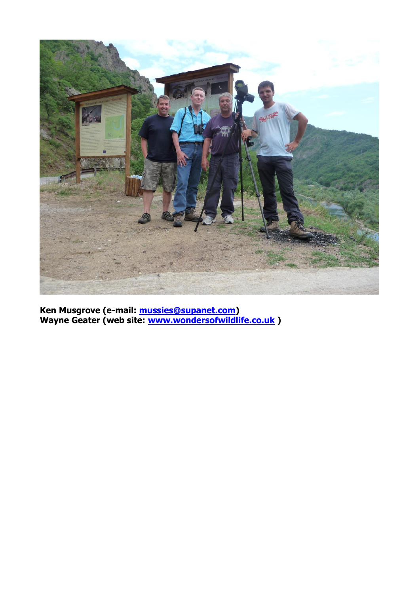

**Ken Musgrove (e-mail: [mussies@supanet.com\)](mailto:mussies@supanet.com) Wayne Geater (web site: [www.wondersofwildlife.co.uk](http://www.wondersofwildlife.co.uk/) )**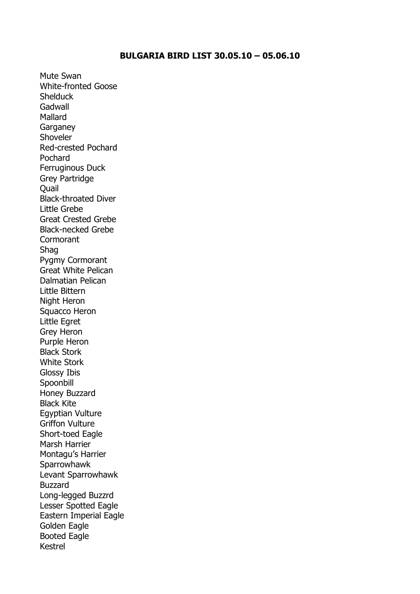#### **BULGARIA BIRD LIST 30.05.10 – 05.06.10**

Mute Swan White-fronted Goose **Shelduck** Gadwall Mallard **Garganey** Shoveler Red-crested Pochard Pochard Ferruginous Duck Grey Partridge Quail Black-throated Diver Little Grebe Great Crested Grebe Black-necked Grebe **Cormorant** Shag Pygmy Cormorant Great White Pelican Dalmatian Pelican Little Bittern Night Heron Squacco Heron Little Egret Grey Heron Purple Heron Black Stork White Stork Glossy Ibis Spoonbill Honey Buzzard Black Kite Egyptian Vulture Griffon Vulture Short-toed Eagle Marsh Harrier Montagu's Harrier **Sparrowhawk** Levant Sparrowhawk Buzzard Long-legged Buzzrd Lesser Spotted Eagle Eastern Imperial Eagle Golden Eagle Booted Eagle Kestrel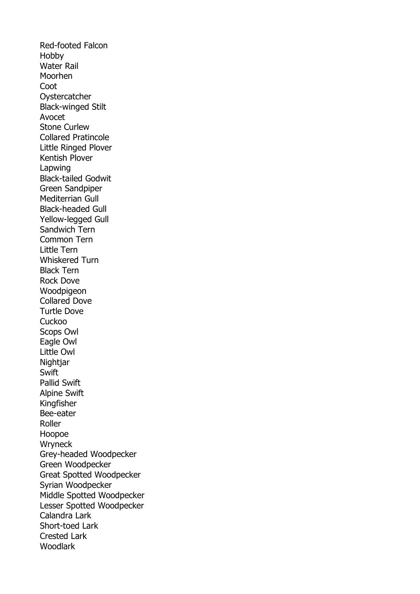Red-footed Falcon Hobby Water Rail Moorhen Coot **Oystercatcher** Black-winged Stilt Avocet Stone Curlew Collared Pratincole Little Ringed Plover Kentish Plover Lapwing Black-tailed Godwit Green Sandpiper Mediterrian Gull Black-headed Gull Yellow-legged Gull Sandwich Tern Common Tern Little Tern Whiskered Turn Black Tern Rock Dove Woodpigeon Collared Dove Turtle Dove **Cuckoo** Scops Owl Eagle Owl Little Owl Nightjar **Swift** Pallid Swift Alpine Swift Kingfisher Bee-eater Roller Hoopoe **Wryneck** Grey-headed Woodpecker Green Woodpecker Great Spotted Woodpecker Syrian Woodpecker Middle Spotted Woodpecker Lesser Spotted Woodpecker Calandra Lark Short-toed Lark Crested Lark Woodlark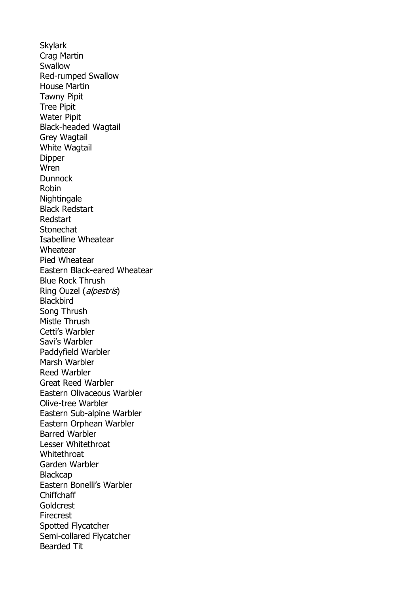**Skylark** Crag Martin Swallow Red-rumped Swallow House Martin Tawny Pipit Tree Pipit Water Pipit Black-headed Wagtail Grey Wagtail White Wagtail Dipper Wren Dunnock Robin Nightingale Black Redstart Redstart **Stonechat** Isabelline Wheatear Wheatear Pied Wheatear Eastern Black-eared Wheatear Blue Rock Thrush Ring Ouzel (alpestris) **Blackbird** Song Thrush Mistle Thrush Cetti's Warbler Savi's Warbler Paddyfield Warbler Marsh Warbler Reed Warbler Great Reed Warbler Eastern Olivaceous Warbler Olive-tree Warbler Eastern Sub-alpine Warbler Eastern Orphean Warbler Barred Warbler Lesser Whitethroat **Whitethroat** Garden Warbler **Blackcap** Eastern Bonelli's Warbler Chiffchaff Goldcrest Firecrest Spotted Flycatcher Semi-collared Flycatcher Bearded Tit